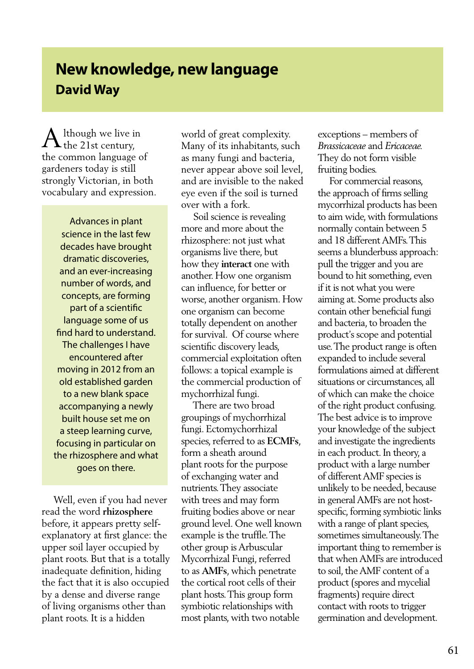## **New knowledge, new language David Way**

lthough we live in  $\rm A$  lthough we live in the 21st century, the common language of gardeners today is still strongly Victorian, in both vocabulary and expression.

> Advances in plant science in the last few decades have brought dramatic discoveries, and an ever-increasing number of words, and concepts, are forming part of a scientific language some of us find hard to understand. The challenges I have encountered after moving in 2012 from an old established garden to a new blank space accompanying a newly built house set me on a steep learning curve, focusing in particular on the rhizosphere and what goes on there.

 Well, even if you had never read the word **rhizosphere** before, it appears pretty selfexplanatory at first glance: the upper soil layer occupied by plant roots. But that is a totally inadequate definition, hiding the fact that it is also occupied by a dense and diverse range of living organisms other than plant roots. It is a hidden

world of great complexity. Many of its inhabitants, such as many fungi and bacteria, never appear above soil level, and are invisible to the naked eye even if the soil is turned over with a fork.

 Soil science is revealing more and more about the rhizosphere: not just what organisms live there, but how they **interact** one with another. How one organism can influence, for better or worse, another organism. How one organism can become totally dependent on another for survival. Of course where scientific discovery leads, commercial exploitation often follows: a topical example is the commercial production of mychorrhizal fungi.

 There are two broad groupings of mychorrhizal fungi. Ectomychorrhizal species, referred to as **ECMFs**, form a sheath around plant roots for the purpose of exchanging water and nutrients. They associate with trees and may form fruiting bodies above or near ground level. One well known example is the truffle. The other group is Arbuscular Mycorrhizal Fungi, referred to as **AMFs**, which penetrate the cortical root cells of their plant hosts. This group form symbiotic relationships with most plants, with two notable

exceptions – members of *Brassicaceae* and *Ericaceae.* They do not form visible fruiting bodies.

 For commercial reasons, the approach of firms selling mycorrhizal products has been to aim wide, with formulations normally contain between 5 and 18 different AMFs. This seems a blunderbuss approach: pull the trigger and you are bound to hit something, even if it is not what you were aiming at. Some products also contain other beneficial fungi and bacteria, to broaden the product's scope and potential use. The product range is often expanded to include several formulations aimed at different situations or circumstances, all of which can make the choice of the right product confusing. The best advice is to improve your knowledge of the subject and investigate the ingredients in each product. In theory, a product with a large number of different AMF species is unlikely to be needed, because in general AMFs are not hostspecific, forming symbiotic links with a range of plant species, sometimes simultaneously. The important thing to remember is that when AMFs are introduced to soil, the AMF content of a product (spores and mycelial fragments) require direct contact with roots to trigger germination and development.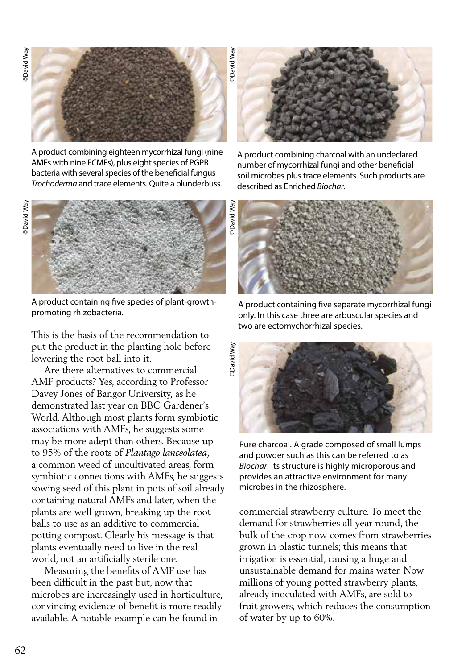©David Way

David Way



A product combining eighteen mycorrhizal fungi (nine AMFs with nine ECMFs), plus eight species of PGPR bacteria with several species of the beneficial fungus *Trochoderma* and trace elements. Quite a blunderbuss.



A product containing five species of plant-growthpromoting rhizobacteria.

This is the basis of the recommendation to put the product in the planting hole before lowering the root ball into it.

 Are there alternatives to commercial AMF products? Yes, according to Professor Davey Jones of Bangor University, as he demonstrated last year on BBC Gardener's World. Although most plants form symbiotic associations with AMFs, he suggests some may be more adept than others. Because up to 95% of the roots of *Plantago lanceolatea*, a common weed of uncultivated areas, form symbiotic connections with AMFs, he suggests sowing seed of this plant in pots of soil already containing natural AMFs and later, when the plants are well grown, breaking up the root balls to use as an additive to commercial potting compost. Clearly his message is that plants eventually need to live in the real world, not an artificially sterile one.

 Measuring the benefits of AMF use has been difficult in the past but, now that microbes are increasingly used in horticulture, convincing evidence of benefit is more readily available. A notable example can be found in



A product combining charcoal with an undeclared number of mycorrhizal fungi and other beneficial soil microbes plus trace elements. Such products are described as Enriched *Biochar*.



A product containing five separate mycorrhizal fungi only. In this case three are arbuscular species and two are ectomychorrhizal species.



Pure charcoal. A grade composed of small lumps and powder such as this can be referred to as *Biochar*. Its structure is highly microporous and provides an attractive environment for many microbes in the rhizosphere.

commercial strawberry culture. To meet the demand for strawberries all year round, the bulk of the crop now comes from strawberries grown in plastic tunnels; this means that irrigation is essential, causing a huge and unsustainable demand for mains water. Now millions of young potted strawberry plants, already inoculated with AMFs, are sold to fruit growers, which reduces the consumption of water by up to 60%.